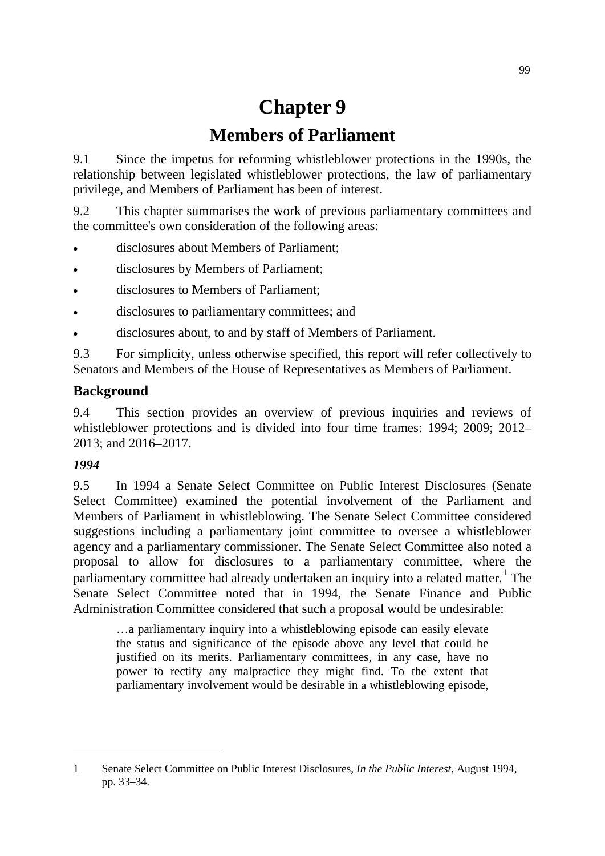# **Chapter 9**

# **Members of Parliament**

9.1 Since the impetus for reforming whistleblower protections in the 1990s, the relationship between legislated whistleblower protections, the law of parliamentary privilege, and Members of Parliament has been of interest.

9.2 This chapter summarises the work of previous parliamentary committees and the committee's own consideration of the following areas:

- disclosures about Members of Parliament;
- disclosures by Members of Parliament;
- disclosures to Members of Parliament;
- disclosures to parliamentary committees; and
- disclosures about, to and by staff of Members of Parliament.

9.3 For simplicity, unless otherwise specified, this report will refer collectively to Senators and Members of the House of Representatives as Members of Parliament.

# **Background**

9.4 This section provides an overview of previous inquiries and reviews of whistleblower protections and is divided into four time frames: 1994; 2009; 2012– 2013; and 2016–2017.

## *1994*

-

9.5 In 1994 a Senate Select Committee on Public Interest Disclosures (Senate Select Committee) examined the potential involvement of the Parliament and Members of Parliament in whistleblowing. The Senate Select Committee considered suggestions including a parliamentary joint committee to oversee a whistleblower agency and a parliamentary commissioner. The Senate Select Committee also noted a proposal to allow for disclosures to a parliamentary committee, where the parliamentary committee had already undertaken an inquiry into a related matter.<sup>[1](#page-0-0)</sup> The Senate Select Committee noted that in 1994, the Senate Finance and Public Administration Committee considered that such a proposal would be undesirable:

…a parliamentary inquiry into a whistleblowing episode can easily elevate the status and significance of the episode above any level that could be justified on its merits. Parliamentary committees, in any case, have no power to rectify any malpractice they might find. To the extent that parliamentary involvement would be desirable in a whistleblowing episode,

<span id="page-0-0"></span><sup>1</sup> Senate Select Committee on Public Interest Disclosures, *In the Public Interest*, August 1994, pp. 33–34.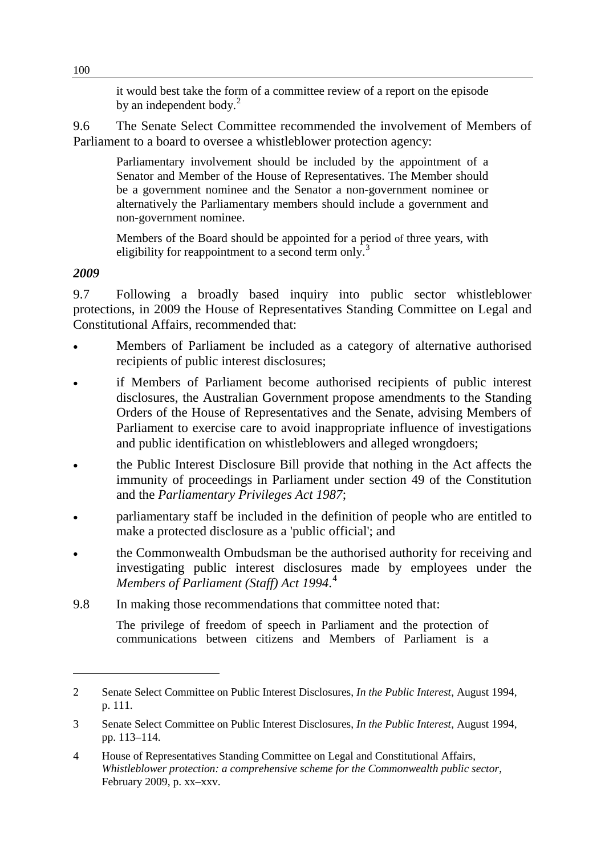it would best take the form of a committee review of a report on the episode by an independent body. $^{2}$  $^{2}$  $^{2}$ 

9.6 The Senate Select Committee recommended the involvement of Members of Parliament to a board to oversee a whistleblower protection agency:

Parliamentary involvement should be included by the appointment of a Senator and Member of the House of Representatives. The Member should be a government nominee and the Senator a non-government nominee or alternatively the Parliamentary members should include a government and non-government nominee.

Members of the Board should be appointed for a period of three years, with eligibility for reappointment to a second term only.<sup>[3](#page-1-1)</sup>

## *2009*

-

9.7 Following a broadly based inquiry into public sector whistleblower protections, in 2009 the House of Representatives Standing Committee on Legal and Constitutional Affairs, recommended that:

- Members of Parliament be included as a category of alternative authorised recipients of public interest disclosures;
- if Members of Parliament become authorised recipients of public interest disclosures, the Australian Government propose amendments to the Standing Orders of the House of Representatives and the Senate, advising Members of Parliament to exercise care to avoid inappropriate influence of investigations and public identification on whistleblowers and alleged wrongdoers;
- the Public Interest Disclosure Bill provide that nothing in the Act affects the immunity of proceedings in Parliament under section 49 of the Constitution and the *Parliamentary Privileges Act 1987*;
- parliamentary staff be included in the definition of people who are entitled to make a protected disclosure as a 'public official'; and
- the Commonwealth Ombudsman be the authorised authority for receiving and investigating public interest disclosures made by employees under the *Members of Parliament (Staff) Act 1994*. [4](#page-1-2)
- 9.8 In making those recommendations that committee noted that:

The privilege of freedom of speech in Parliament and the protection of communications between citizens and Members of Parliament is a

<span id="page-1-0"></span><sup>2</sup> Senate Select Committee on Public Interest Disclosures, *In the Public Interest*, August 1994, p. 111.

<span id="page-1-1"></span><sup>3</sup> Senate Select Committee on Public Interest Disclosures, *In the Public Interest*, August 1994, pp. 113–114.

<span id="page-1-2"></span><sup>4</sup> House of Representatives Standing Committee on Legal and Constitutional Affairs, *Whistleblower protection: a comprehensive scheme for the Commonwealth public sector*, February 2009, p. xx–xxv.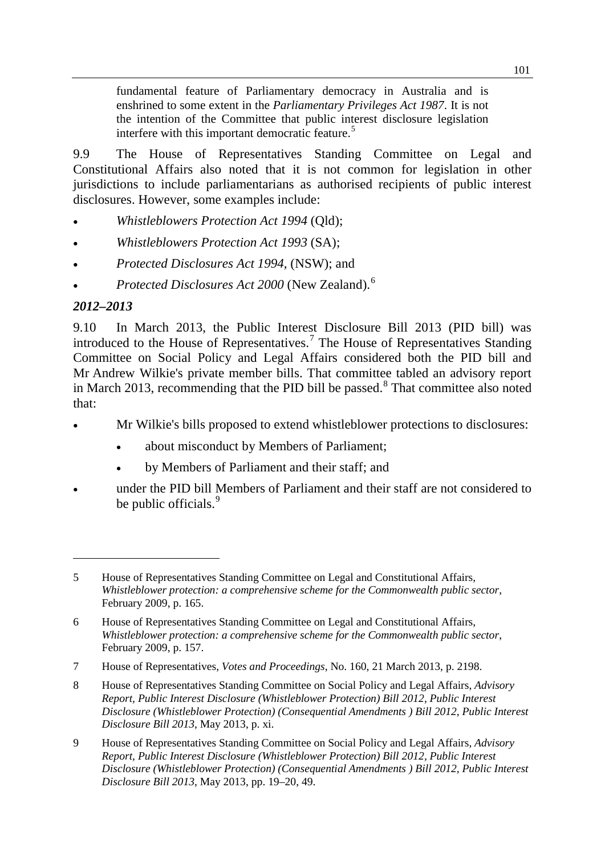fundamental feature of Parliamentary democracy in Australia and is enshrined to some extent in the *Parliamentary Privileges Act 1987*. It is not the intention of the Committee that public interest disclosure legislation interfere with this important democratic feature.<sup>[5](#page-2-0)</sup>

9.9 The House of Representatives Standing Committee on Legal and Constitutional Affairs also noted that it is not common for legislation in other jurisdictions to include parliamentarians as authorised recipients of public interest disclosures. However, some examples include:

- *Whistleblowers Protection Act 1994* (Qld);
- *Whistleblowers Protection Act 1993* (SA);
- *Protected Disclosures Act 1994*, (NSW); and
- *Protected Disclosures Act 2000* (New Zealand).[6](#page-2-1)

## *2012–2013*

-

9.10 In March 2013, the Public Interest Disclosure Bill 2013 (PID bill) was introduced to the House of Representatives.[7](#page-2-2) The House of Representatives Standing Committee on Social Policy and Legal Affairs considered both the PID bill and Mr Andrew Wilkie's private member bills. That committee tabled an advisory report in March 2013, recommending that the PID bill be passed. [8](#page-2-3) That committee also noted that:

- Mr Wilkie's bills proposed to extend whistleblower protections to disclosures:
	- about misconduct by Members of Parliament;
	- by Members of Parliament and their staff; and
- under the PID bill Members of Parliament and their staff are not considered to be public officials.<sup>[9](#page-2-4)</sup>

<span id="page-2-0"></span><sup>5</sup> House of Representatives Standing Committee on Legal and Constitutional Affairs, *Whistleblower protection: a comprehensive scheme for the Commonwealth public sector*, February 2009, p. 165.

<span id="page-2-1"></span><sup>6</sup> House of Representatives Standing Committee on Legal and Constitutional Affairs, *Whistleblower protection: a comprehensive scheme for the Commonwealth public sector*, February 2009, p. 157.

<span id="page-2-2"></span><sup>7</sup> House of Representatives, *Votes and Proceedings*, No. 160, 21 March 2013, p. 2198.

<span id="page-2-3"></span><sup>8</sup> House of Representatives Standing Committee on Social Policy and Legal Affairs, *Advisory Report, Public Interest Disclosure (Whistleblower Protection) Bill 2012, Public Interest Disclosure (Whistleblower Protection) (Consequential Amendments ) Bill 2012, Public Interest Disclosure Bill 2013*, May 2013, p. xi.

<span id="page-2-4"></span><sup>9</sup> House of Representatives Standing Committee on Social Policy and Legal Affairs, *Advisory Report, Public Interest Disclosure (Whistleblower Protection) Bill 2012, Public Interest Disclosure (Whistleblower Protection) (Consequential Amendments ) Bill 2012, Public Interest Disclosure Bill 2013*, May 2013, pp. 19–20, 49.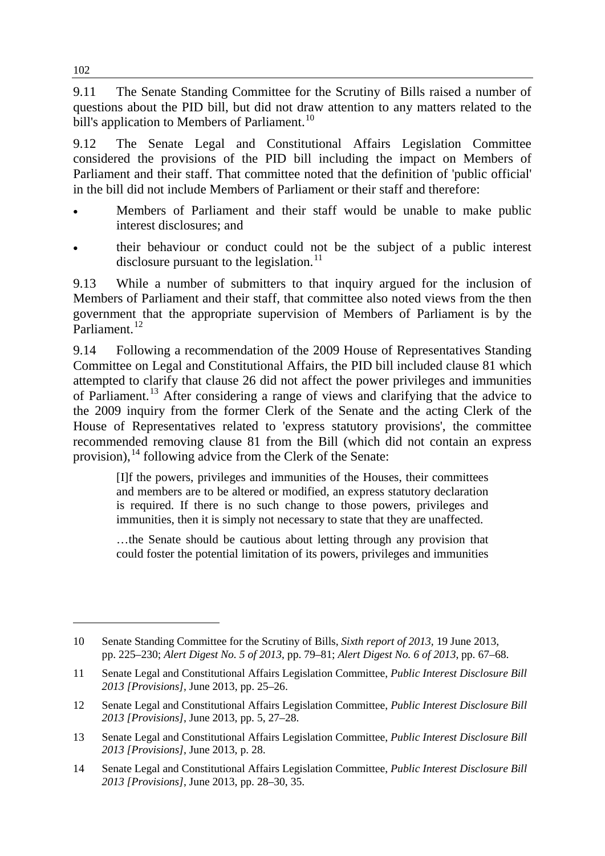9.11 The Senate Standing Committee for the Scrutiny of Bills raised a number of questions about the PID bill, but did not draw attention to any matters related to the bill's application to Members of Parliament.<sup>[10](#page-3-0)</sup>

9.12 The Senate Legal and Constitutional Affairs Legislation Committee considered the provisions of the PID bill including the impact on Members of Parliament and their staff. That committee noted that the definition of 'public official' in the bill did not include Members of Parliament or their staff and therefore:

- Members of Parliament and their staff would be unable to make public interest disclosures; and
- their behaviour or conduct could not be the subject of a public interest disclosure pursuant to the legislation.<sup>[11](#page-3-1)</sup>

9.13 While a number of submitters to that inquiry argued for the inclusion of Members of Parliament and their staff, that committee also noted views from the then government that the appropriate supervision of Members of Parliament is by the Parliament.<sup>[12](#page-3-2)</sup>

9.14 Following a recommendation of the 2009 House of Representatives Standing Committee on Legal and Constitutional Affairs, the PID bill included clause 81 which attempted to clarify that clause 26 did not affect the power privileges and immunities of Parliament.[13](#page-3-3) After considering a range of views and clarifying that the advice to the 2009 inquiry from the former Clerk of the Senate and the acting Clerk of the House of Representatives related to 'express statutory provisions', the committee recommended removing clause 81 from the Bill (which did not contain an express provision), <sup>[14](#page-3-4)</sup> following advice from the Clerk of the Senate:

[I]f the powers, privileges and immunities of the Houses, their committees and members are to be altered or modified, an express statutory declaration is required. If there is no such change to those powers, privileges and immunities, then it is simply not necessary to state that they are unaffected.

…the Senate should be cautious about letting through any provision that could foster the potential limitation of its powers, privileges and immunities

-

<span id="page-3-0"></span><sup>10</sup> Senate Standing Committee for the Scrutiny of Bills, *Sixth report of 2013,* 19 June 2013, pp. 225–230; *Alert Digest No. 5 of 2013*, pp. 79–81; *Alert Digest No. 6 of 2013*, pp. 67–68.

<span id="page-3-1"></span><sup>11</sup> Senate Legal and Constitutional Affairs Legislation Committee, *Public Interest Disclosure Bill 2013 [Provisions]*, June 2013, pp. 25–26.

<span id="page-3-2"></span><sup>12</sup> Senate Legal and Constitutional Affairs Legislation Committee, *Public Interest Disclosure Bill 2013 [Provisions]*, June 2013, pp. 5, 27–28.

<span id="page-3-3"></span><sup>13</sup> Senate Legal and Constitutional Affairs Legislation Committee, *Public Interest Disclosure Bill 2013 [Provisions]*, June 2013, p. 28.

<span id="page-3-4"></span><sup>14</sup> Senate Legal and Constitutional Affairs Legislation Committee, *Public Interest Disclosure Bill 2013 [Provisions]*, June 2013, pp. 28–30, 35.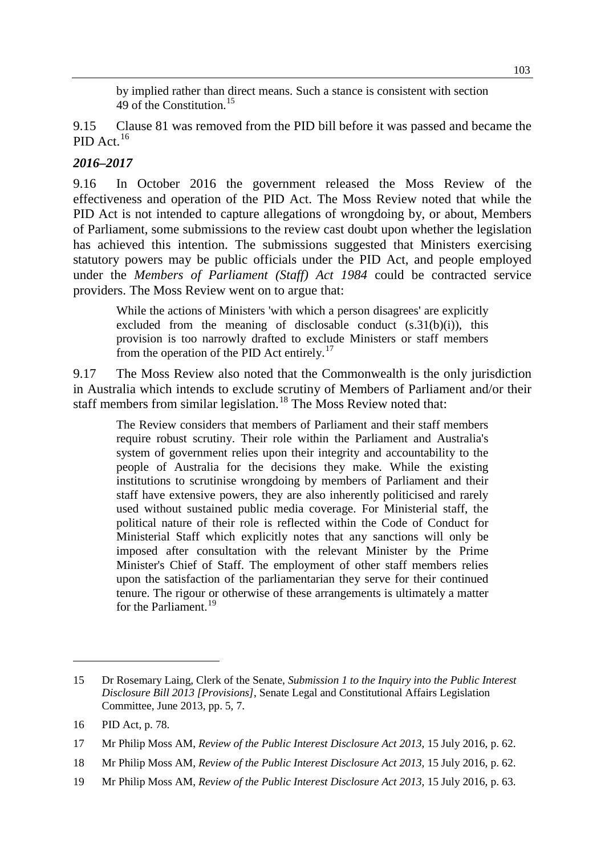by implied rather than direct means. Such a stance is consistent with section 49 of the Constitution.<sup>[15](#page-4-0)</sup>

9.15 Clause 81 was removed from the PID bill before it was passed and became the PID Act.<sup>[16](#page-4-1)</sup>

## *2016–2017*

9.16 In October 2016 the government released the Moss Review of the effectiveness and operation of the PID Act. The Moss Review noted that while the PID Act is not intended to capture allegations of wrongdoing by, or about, Members of Parliament, some submissions to the review cast doubt upon whether the legislation has achieved this intention. The submissions suggested that Ministers exercising statutory powers may be public officials under the PID Act, and people employed under the *Members of Parliament (Staff) Act 1984* could be contracted service providers. The Moss Review went on to argue that:

While the actions of Ministers 'with which a person disagrees' are explicitly excluded from the meaning of disclosable conduct  $(s.31(b)(i))$ , this provision is too narrowly drafted to exclude Ministers or staff members from the operation of the PID Act entirely.<sup>[17](#page-4-2)</sup>

9.17 The Moss Review also noted that the Commonwealth is the only jurisdiction in Australia which intends to exclude scrutiny of Members of Parliament and/or their staff members from similar legislation.<sup>[18](#page-4-3)</sup> The Moss Review noted that:

The Review considers that members of Parliament and their staff members require robust scrutiny. Their role within the Parliament and Australia's system of government relies upon their integrity and accountability to the people of Australia for the decisions they make. While the existing institutions to scrutinise wrongdoing by members of Parliament and their staff have extensive powers, they are also inherently politicised and rarely used without sustained public media coverage. For Ministerial staff, the political nature of their role is reflected within the Code of Conduct for Ministerial Staff which explicitly notes that any sanctions will only be imposed after consultation with the relevant Minister by the Prime Minister's Chief of Staff. The employment of other staff members relies upon the satisfaction of the parliamentarian they serve for their continued tenure. The rigour or otherwise of these arrangements is ultimately a matter for the Parliament<sup>[19](#page-4-4)</sup>

-

<span id="page-4-0"></span><sup>15</sup> Dr Rosemary Laing, Clerk of the Senate, *Submission 1 to the Inquiry into the Public Interest Disclosure Bill 2013 [Provisions]*, Senate Legal and Constitutional Affairs Legislation Committee, June 2013, pp. 5, 7.

<span id="page-4-1"></span><sup>16</sup> PID Act, p. 78.

<span id="page-4-2"></span><sup>17</sup> Mr Philip Moss AM, *Review of the Public Interest Disclosure Act 2013*, 15 July 2016, p. 62.

<span id="page-4-3"></span><sup>18</sup> Mr Philip Moss AM, *Review of the Public Interest Disclosure Act 2013*, 15 July 2016, p. 62.

<span id="page-4-4"></span><sup>19</sup> Mr Philip Moss AM, *Review of the Public Interest Disclosure Act 2013*, 15 July 2016, p. 63.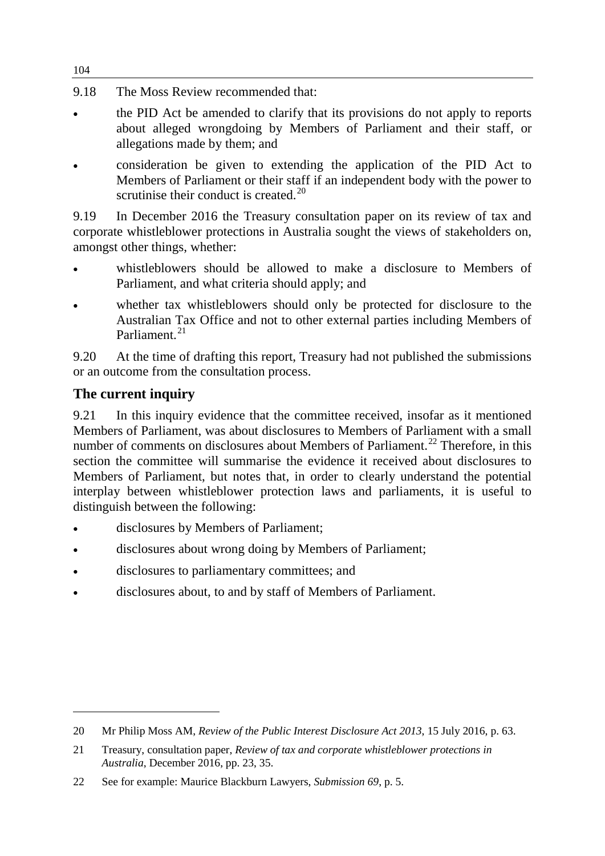- 9.18 The Moss Review recommended that:
- the PID Act be amended to clarify that its provisions do not apply to reports about alleged wrongdoing by Members of Parliament and their staff, or allegations made by them; and
- consideration be given to extending the application of the PID Act to Members of Parliament or their staff if an independent body with the power to scrutinise their conduct is created. $^{20}$  $^{20}$  $^{20}$

9.19 In December 2016 the Treasury consultation paper on its review of tax and corporate whistleblower protections in Australia sought the views of stakeholders on, amongst other things, whether:

- whistleblowers should be allowed to make a disclosure to Members of Parliament, and what criteria should apply; and
- whether tax whistleblowers should only be protected for disclosure to the Australian Tax Office and not to other external parties including Members of Parliament<sup>[21](#page-5-1)</sup>

9.20 At the time of drafting this report, Treasury had not published the submissions or an outcome from the consultation process.

# **The current inquiry**

-

9.21 In this inquiry evidence that the committee received, insofar as it mentioned Members of Parliament, was about disclosures to Members of Parliament with a small number of comments on disclosures about Members of Parliament.<sup>[22](#page-5-2)</sup> Therefore, in this section the committee will summarise the evidence it received about disclosures to Members of Parliament, but notes that, in order to clearly understand the potential interplay between whistleblower protection laws and parliaments, it is useful to distinguish between the following:

- disclosures by Members of Parliament;
- disclosures about wrong doing by Members of Parliament;
- disclosures to parliamentary committees; and
- disclosures about, to and by staff of Members of Parliament.

104

<span id="page-5-0"></span><sup>20</sup> Mr Philip Moss AM, *Review of the Public Interest Disclosure Act 2013*, 15 July 2016, p. 63.

<span id="page-5-1"></span><sup>21</sup> Treasury, consultation paper, *Review of tax and corporate whistleblower protections in Australia*, December 2016, pp. 23, 35.

<span id="page-5-2"></span><sup>22</sup> See for example: Maurice Blackburn Lawyers, *Submission 69*, p. 5.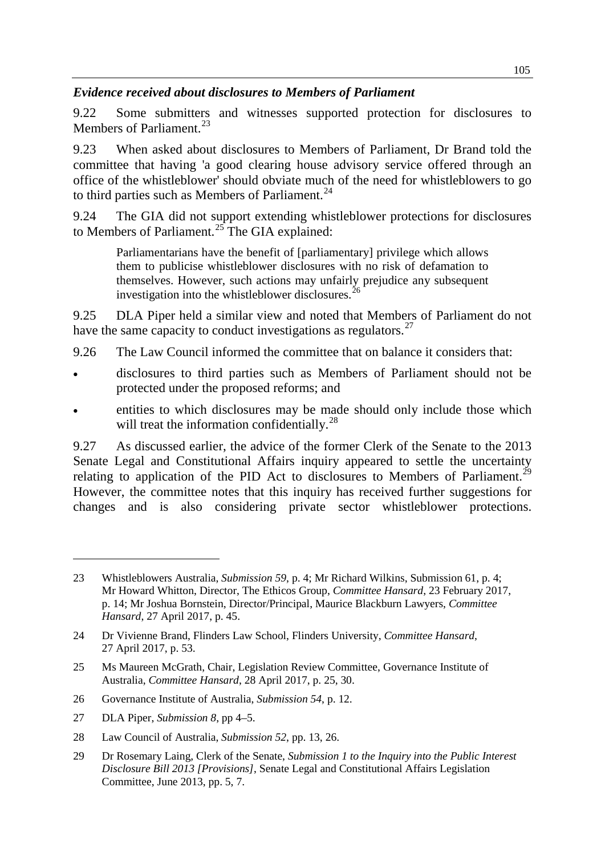## *Evidence received about disclosures to Members of Parliament*

9.22 Some submitters and witnesses supported protection for disclosures to Members of Parliament.<sup>[23](#page-6-0)</sup>

9.23 When asked about disclosures to Members of Parliament, Dr Brand told the committee that having 'a good clearing house advisory service offered through an office of the whistleblower' should obviate much of the need for whistleblowers to go to third parties such as Members of Parliament. $^{24}$  $^{24}$  $^{24}$ 

9.24 The GIA did not support extending whistleblower protections for disclosures to Members of Parliament.<sup>[25](#page-6-2)</sup> The GIA explained:

Parliamentarians have the benefit of [parliamentary] privilege which allows them to publicise whistleblower disclosures with no risk of defamation to themselves. However, such actions may unfairly prejudice any subsequent investigation into the whistleblower disclosures.<sup>[26](#page-6-3)</sup>

9.25 DLA Piper held a similar view and noted that Members of Parliament do not have the same capacity to conduct investigations as regulators.<sup>[27](#page-6-4)</sup>

- 9.26 The Law Council informed the committee that on balance it considers that:
- disclosures to third parties such as Members of Parliament should not be protected under the proposed reforms; and
- entities to which disclosures may be made should only include those which will treat the information confidentially.<sup>[28](#page-6-5)</sup>

9.27 As discussed earlier, the advice of the former Clerk of the Senate to the 2013 Senate Legal and Constitutional Affairs inquiry appeared to settle the uncertainty relating to application of the PID Act to disclosures to Members of Parliament.<sup>[29](#page-6-6)</sup> However, the committee notes that this inquiry has received further suggestions for changes and is also considering private sector whistleblower protections.

<span id="page-6-4"></span>27 DLA Piper, *Submission 8*, pp 4–5.

-

<span id="page-6-0"></span><sup>23</sup> Whistleblowers Australia, *Submission 59*, p. 4; Mr Richard Wilkins, Submission 61, p. 4; Mr Howard Whitton, Director, The Ethicos Group, *Committee Hansard*, 23 February 2017, p. 14; Mr Joshua Bornstein, Director/Principal, Maurice Blackburn Lawyers, *Committee Hansard*, 27 April 2017, p. 45.

<span id="page-6-1"></span><sup>24</sup> Dr Vivienne Brand, Flinders Law School, Flinders University, *Committee Hansard*, 27 April 2017, p. 53.

<span id="page-6-2"></span><sup>25</sup> Ms Maureen McGrath, Chair, Legislation Review Committee, Governance Institute of Australia, *Committee Hansard*, 28 April 2017, p. 25, 30.

<span id="page-6-3"></span><sup>26</sup> Governance Institute of Australia, *Submission 54*, p. 12.

<span id="page-6-5"></span><sup>28</sup> Law Council of Australia, *Submission 52*, pp. 13, 26.

<span id="page-6-6"></span><sup>29</sup> Dr Rosemary Laing, Clerk of the Senate, *Submission 1 to the Inquiry into the Public Interest Disclosure Bill 2013 [Provisions]*, Senate Legal and Constitutional Affairs Legislation Committee, June 2013, pp. 5, 7.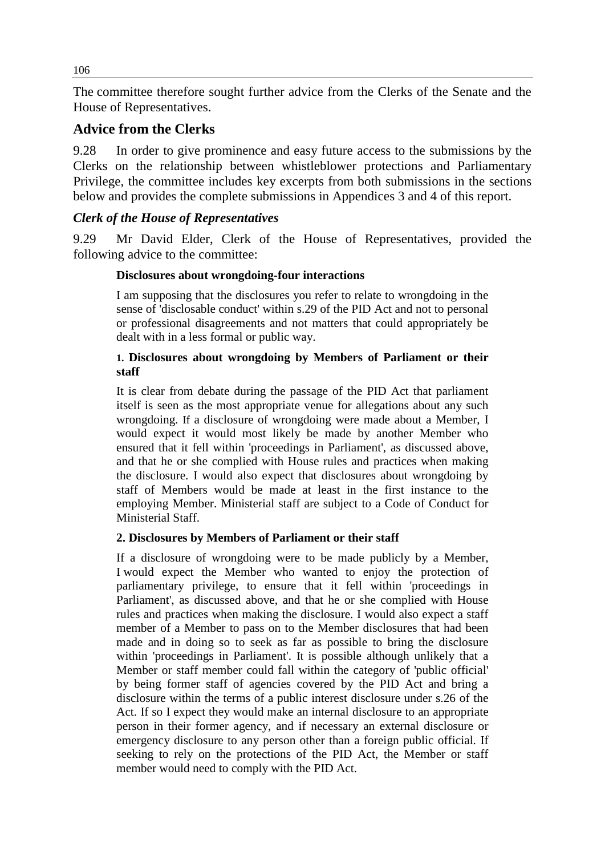The committee therefore sought further advice from the Clerks of the Senate and the House of Representatives.

## **Advice from the Clerks**

9.28 In order to give prominence and easy future access to the submissions by the Clerks on the relationship between whistleblower protections and Parliamentary Privilege, the committee includes key excerpts from both submissions in the sections below and provides the complete submissions in Appendices 3 and 4 of this report.

## *Clerk of the House of Representatives*

9.29 Mr David Elder, Clerk of the House of Representatives, provided the following advice to the committee:

## **Disclosures about wrongdoing-four interactions**

I am supposing that the disclosures you refer to relate to wrongdoing in the sense of 'disclosable conduct' within s.29 of the PID Act and not to personal or professional disagreements and not matters that could appropriately be dealt with in a less formal or public way.

#### **1. Disclosures about wrongdoing by Members of Parliament or their staff**

It is clear from debate during the passage of the PID Act that parliament itself is seen as the most appropriate venue for allegations about any such wrongdoing. If a disclosure of wrongdoing were made about a Member, I would expect it would most likely be made by another Member who ensured that it fell within 'proceedings in Parliament', as discussed above, and that he or she complied with House rules and practices when making the disclosure. I would also expect that disclosures about wrongdoing by staff of Members would be made at least in the first instance to the employing Member. Ministerial staff are subject to a Code of Conduct for Ministerial Staff.

#### **2. Disclosures by Members of Parliament or their staff**

If a disclosure of wrongdoing were to be made publicly by a Member, I would expect the Member who wanted to enjoy the protection of parliamentary privilege, to ensure that it fell within 'proceedings in Parliament', as discussed above, and that he or she complied with House rules and practices when making the disclosure. I would also expect a staff member of a Member to pass on to the Member disclosures that had been made and in doing so to seek as far as possible to bring the disclosure within 'proceedings in Parliament'. It is possible although unlikely that a Member or staff member could fall within the category of 'public official' by being former staff of agencies covered by the PID Act and bring a disclosure within the terms of a public interest disclosure under s.26 of the Act. If so I expect they would make an internal disclosure to an appropriate person in their former agency, and if necessary an external disclosure or emergency disclosure to any person other than a foreign public official. If seeking to rely on the protections of the PID Act, the Member or staff member would need to comply with the PID Act.

106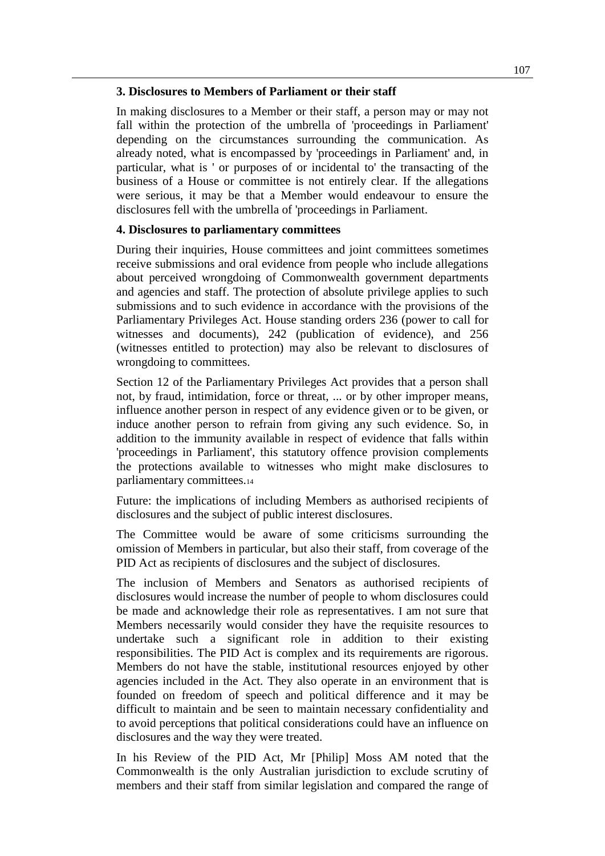#### **3. Disclosures to Members of Parliament or their staff**

In making disclosures to a Member or their staff, a person may or may not fall within the protection of the umbrella of 'proceedings in Parliament' depending on the circumstances surrounding the communication. As already noted, what is encompassed by 'proceedings in Parliament' and, in particular, what is ' or purposes of or incidental to' the transacting of the business of a House or committee is not entirely clear. If the allegations were serious, it may be that a Member would endeavour to ensure the disclosures fell with the umbrella of 'proceedings in Parliament.

#### **4. Disclosures to parliamentary committees**

During their inquiries, House committees and joint committees sometimes receive submissions and oral evidence from people who include allegations about perceived wrongdoing of Commonwealth government departments and agencies and staff. The protection of absolute privilege applies to such submissions and to such evidence in accordance with the provisions of the Parliamentary Privileges Act. House standing orders 236 (power to call for witnesses and documents), 242 (publication of evidence), and 256 (witnesses entitled to protection) may also be relevant to disclosures of wrongdoing to committees.

Section 12 of the Parliamentary Privileges Act provides that a person shall not, by fraud, intimidation, force or threat, ... or by other improper means, influence another person in respect of any evidence given or to be given, or induce another person to refrain from giving any such evidence. So, in addition to the immunity available in respect of evidence that falls within 'proceedings in Parliament', this statutory offence provision complements the protections available to witnesses who might make disclosures to parliamentary committees.14

Future: the implications of including Members as authorised recipients of disclosures and the subject of public interest disclosures.

The Committee would be aware of some criticisms surrounding the omission of Members in particular, but also their staff, from coverage of the PID Act as recipients of disclosures and the subject of disclosures.

The inclusion of Members and Senators as authorised recipients of disclosures would increase the number of people to whom disclosures could be made and acknowledge their role as representatives. I am not sure that Members necessarily would consider they have the requisite resources to undertake such a significant role in addition to their existing responsibilities. The PID Act is complex and its requirements are rigorous. Members do not have the stable, institutional resources enjoyed by other agencies included in the Act. They also operate in an environment that is founded on freedom of speech and political difference and it may be difficult to maintain and be seen to maintain necessary confidentiality and to avoid perceptions that political considerations could have an influence on disclosures and the way they were treated.

In his Review of the PID Act, Mr [Philip] Moss AM noted that the Commonwealth is the only Australian jurisdiction to exclude scrutiny of members and their staff from similar legislation and compared the range of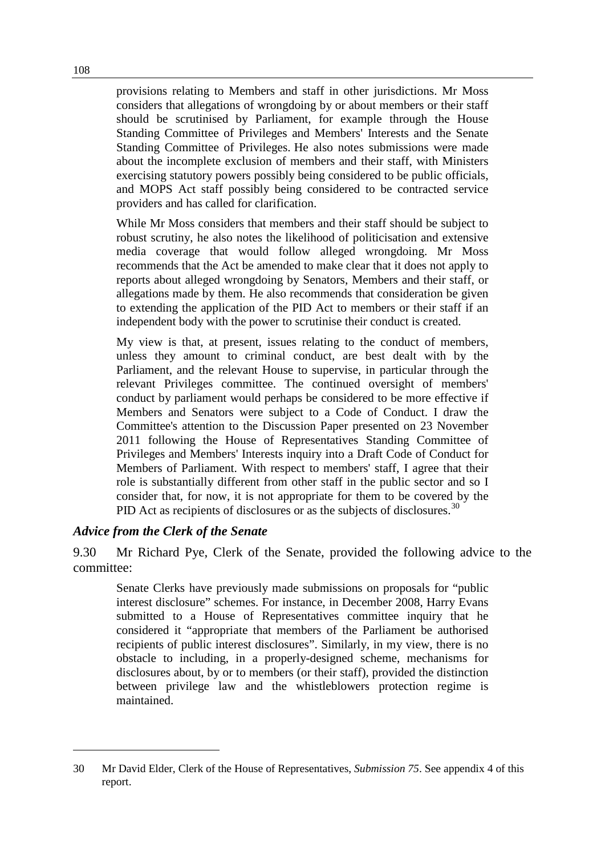provisions relating to Members and staff in other jurisdictions. Mr Moss considers that allegations of wrongdoing by or about members or their staff should be scrutinised by Parliament, for example through the House Standing Committee of Privileges and Members' Interests and the Senate Standing Committee of Privileges. He also notes submissions were made about the incomplete exclusion of members and their staff, with Ministers exercising statutory powers possibly being considered to be public officials, and MOPS Act staff possibly being considered to be contracted service providers and has called for clarification.

While Mr Moss considers that members and their staff should be subject to robust scrutiny, he also notes the likelihood of politicisation and extensive media coverage that would follow alleged wrongdoing. Mr Moss recommends that the Act be amended to make clear that it does not apply to reports about alleged wrongdoing by Senators, Members and their staff, or allegations made by them. He also recommends that consideration be given to extending the application of the PID Act to members or their staff if an independent body with the power to scrutinise their conduct is created.

My view is that, at present, issues relating to the conduct of members, unless they amount to criminal conduct, are best dealt with by the Parliament, and the relevant House to supervise, in particular through the relevant Privileges committee. The continued oversight of members' conduct by parliament would perhaps be considered to be more effective if Members and Senators were subject to a Code of Conduct. I draw the Committee's attention to the Discussion Paper presented on 23 November 2011 following the House of Representatives Standing Committee of Privileges and Members' Interests inquiry into a Draft Code of Conduct for Members of Parliament. With respect to members' staff, I agree that their role is substantially different from other staff in the public sector and so I consider that, for now, it is not appropriate for them to be covered by the PID Act as recipients of disclosures or as the subjects of disclosures.<sup>[30](#page-9-0)</sup>

## *Advice from the Clerk of the Senate*

-

9.30 Mr Richard Pye, Clerk of the Senate, provided the following advice to the committee:

Senate Clerks have previously made submissions on proposals for "public interest disclosure" schemes. For instance, in December 2008, Harry Evans submitted to a House of Representatives committee inquiry that he considered it "appropriate that members of the Parliament be authorised recipients of public interest disclosures". Similarly, in my view, there is no obstacle to including, in a properly-designed scheme, mechanisms for disclosures about, by or to members (or their staff), provided the distinction between privilege law and the whistleblowers protection regime is maintained.

<span id="page-9-0"></span><sup>30</sup> Mr David Elder, Clerk of the House of Representatives, *Submission 75*. See appendix 4 of this report.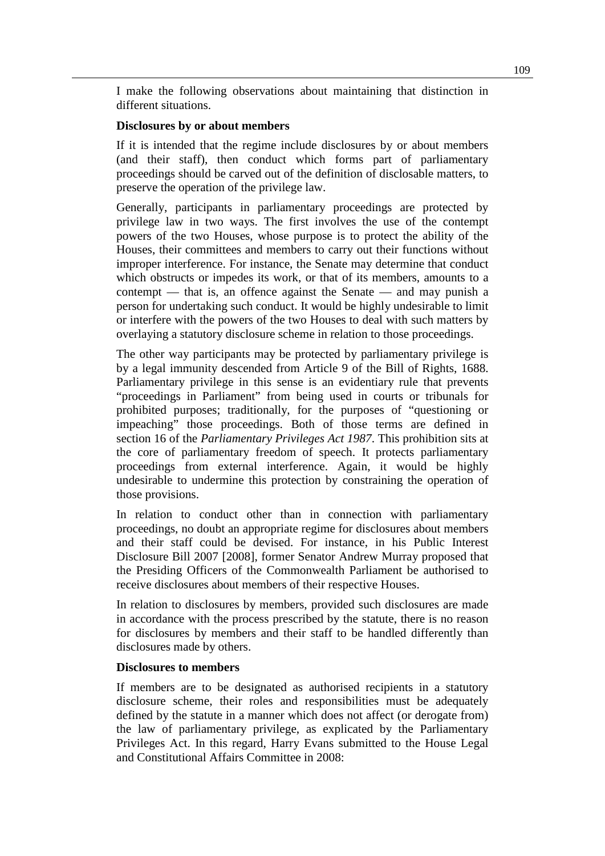I make the following observations about maintaining that distinction in different situations.

#### **Disclosures by or about members**

If it is intended that the regime include disclosures by or about members (and their staff), then conduct which forms part of parliamentary proceedings should be carved out of the definition of disclosable matters, to preserve the operation of the privilege law.

Generally, participants in parliamentary proceedings are protected by privilege law in two ways. The first involves the use of the contempt powers of the two Houses, whose purpose is to protect the ability of the Houses, their committees and members to carry out their functions without improper interference. For instance, the Senate may determine that conduct which obstructs or impedes its work, or that of its members, amounts to a contempt — that is, an offence against the Senate — and may punish a person for undertaking such conduct. It would be highly undesirable to limit or interfere with the powers of the two Houses to deal with such matters by overlaying a statutory disclosure scheme in relation to those proceedings.

The other way participants may be protected by parliamentary privilege is by a legal immunity descended from Article 9 of the Bill of Rights, 1688. Parliamentary privilege in this sense is an evidentiary rule that prevents "proceedings in Parliament" from being used in courts or tribunals for prohibited purposes; traditionally, for the purposes of "questioning or impeaching" those proceedings. Both of those terms are defined in section 16 of the *Parliamentary Privileges Act 1987*. This prohibition sits at the core of parliamentary freedom of speech. It protects parliamentary proceedings from external interference. Again, it would be highly undesirable to undermine this protection by constraining the operation of those provisions.

In relation to conduct other than in connection with parliamentary proceedings, no doubt an appropriate regime for disclosures about members and their staff could be devised. For instance, in his Public Interest Disclosure Bill 2007 [2008], former Senator Andrew Murray proposed that the Presiding Officers of the Commonwealth Parliament be authorised to receive disclosures about members of their respective Houses.

In relation to disclosures by members, provided such disclosures are made in accordance with the process prescribed by the statute, there is no reason for disclosures by members and their staff to be handled differently than disclosures made by others.

#### **Disclosures to members**

If members are to be designated as authorised recipients in a statutory disclosure scheme, their roles and responsibilities must be adequately defined by the statute in a manner which does not affect (or derogate from) the law of parliamentary privilege, as explicated by the Parliamentary Privileges Act. In this regard, Harry Evans submitted to the House Legal and Constitutional Affairs Committee in 2008: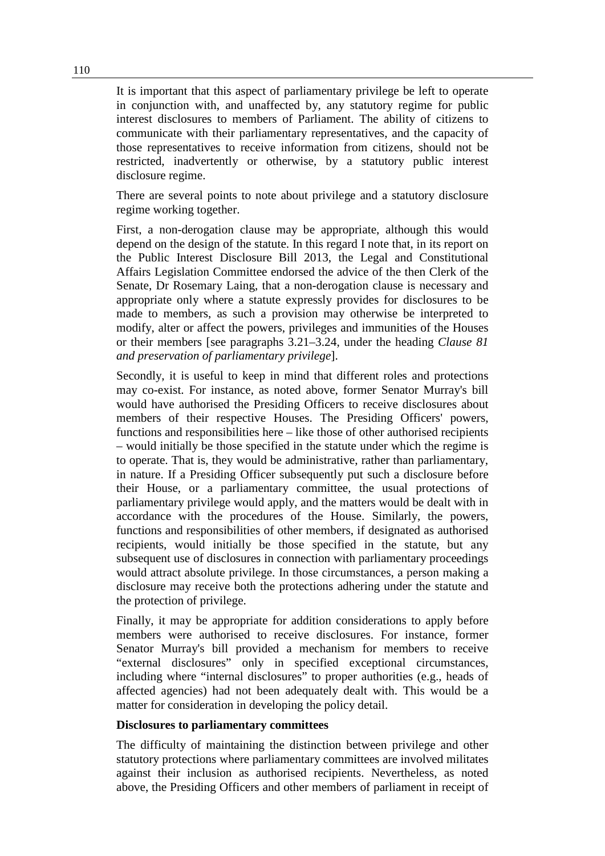It is important that this aspect of parliamentary privilege be left to operate in conjunction with, and unaffected by, any statutory regime for public interest disclosures to members of Parliament. The ability of citizens to communicate with their parliamentary representatives, and the capacity of those representatives to receive information from citizens, should not be restricted, inadvertently or otherwise, by a statutory public interest disclosure regime.

There are several points to note about privilege and a statutory disclosure regime working together.

First, a non-derogation clause may be appropriate, although this would depend on the design of the statute. In this regard I note that, in its report on the Public Interest Disclosure Bill 2013, the Legal and Constitutional Affairs Legislation Committee endorsed the advice of the then Clerk of the Senate, Dr Rosemary Laing, that a non-derogation clause is necessary and appropriate only where a statute expressly provides for disclosures to be made to members, as such a provision may otherwise be interpreted to modify, alter or affect the powers, privileges and immunities of the Houses or their members [see paragraphs 3.21–3.24, under the heading *Clause 81 and preservation of parliamentary privilege*].

Secondly, it is useful to keep in mind that different roles and protections may co-exist. For instance, as noted above, former Senator Murray's bill would have authorised the Presiding Officers to receive disclosures about members of their respective Houses. The Presiding Officers' powers, functions and responsibilities here – like those of other authorised recipients – would initially be those specified in the statute under which the regime is to operate. That is, they would be administrative, rather than parliamentary, in nature. If a Presiding Officer subsequently put such a disclosure before their House, or a parliamentary committee, the usual protections of parliamentary privilege would apply, and the matters would be dealt with in accordance with the procedures of the House. Similarly, the powers, functions and responsibilities of other members, if designated as authorised recipients, would initially be those specified in the statute, but any subsequent use of disclosures in connection with parliamentary proceedings would attract absolute privilege. In those circumstances, a person making a disclosure may receive both the protections adhering under the statute and the protection of privilege.

Finally, it may be appropriate for addition considerations to apply before members were authorised to receive disclosures. For instance, former Senator Murray's bill provided a mechanism for members to receive "external disclosures" only in specified exceptional circumstances, including where "internal disclosures" to proper authorities (e.g., heads of affected agencies) had not been adequately dealt with. This would be a matter for consideration in developing the policy detail.

#### **Disclosures to parliamentary committees**

The difficulty of maintaining the distinction between privilege and other statutory protections where parliamentary committees are involved militates against their inclusion as authorised recipients. Nevertheless, as noted above, the Presiding Officers and other members of parliament in receipt of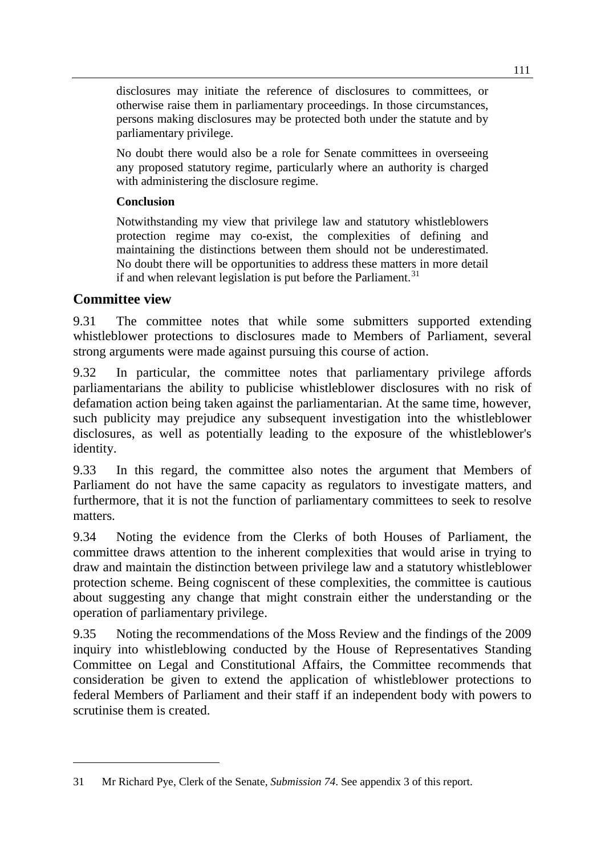disclosures may initiate the reference of disclosures to committees, or otherwise raise them in parliamentary proceedings. In those circumstances, persons making disclosures may be protected both under the statute and by parliamentary privilege.

No doubt there would also be a role for Senate committees in overseeing any proposed statutory regime, particularly where an authority is charged with administering the disclosure regime.

## **Conclusion**

Notwithstanding my view that privilege law and statutory whistleblowers protection regime may co-exist, the complexities of defining and maintaining the distinctions between them should not be underestimated. No doubt there will be opportunities to address these matters in more detail if and when relevant legislation is put before the Parliament.<sup>[31](#page-12-0)</sup>

## **Committee view**

-

9.31 The committee notes that while some submitters supported extending whistleblower protections to disclosures made to Members of Parliament, several strong arguments were made against pursuing this course of action.

9.32 In particular, the committee notes that parliamentary privilege affords parliamentarians the ability to publicise whistleblower disclosures with no risk of defamation action being taken against the parliamentarian. At the same time, however, such publicity may prejudice any subsequent investigation into the whistleblower disclosures, as well as potentially leading to the exposure of the whistleblower's identity.

9.33 In this regard, the committee also notes the argument that Members of Parliament do not have the same capacity as regulators to investigate matters, and furthermore, that it is not the function of parliamentary committees to seek to resolve matters.

9.34 Noting the evidence from the Clerks of both Houses of Parliament, the committee draws attention to the inherent complexities that would arise in trying to draw and maintain the distinction between privilege law and a statutory whistleblower protection scheme. Being cogniscent of these complexities, the committee is cautious about suggesting any change that might constrain either the understanding or the operation of parliamentary privilege.

9.35 Noting the recommendations of the Moss Review and the findings of the 2009 inquiry into whistleblowing conducted by the House of Representatives Standing Committee on Legal and Constitutional Affairs, the Committee recommends that consideration be given to extend the application of whistleblower protections to federal Members of Parliament and their staff if an independent body with powers to scrutinise them is created.

<span id="page-12-0"></span><sup>31</sup> Mr Richard Pye, Clerk of the Senate, *Submission 74*. See appendix 3 of this report.